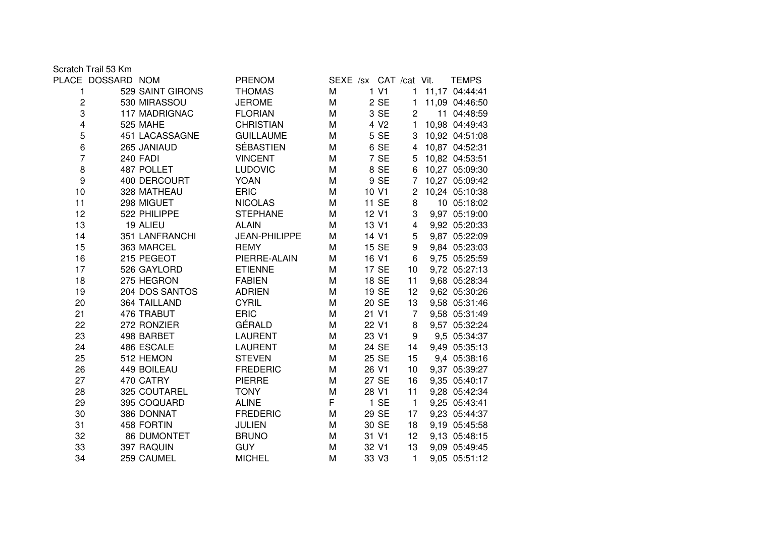Scratch Trail 53 Km

|                | PLACE DOSSARD NOM |                  | <b>PRENOM</b>    | SEXE /sx CAT /cat Vit. |                  |                | <b>TEMPS</b>   |
|----------------|-------------------|------------------|------------------|------------------------|------------------|----------------|----------------|
| 1              |                   | 529 SAINT GIRONS | <b>THOMAS</b>    | M                      | 1 V1             | 1              | 11,17 04:44:41 |
| $\overline{c}$ |                   | 530 MIRASSOU     | <b>JEROME</b>    | M                      | 2 SE             | $\mathbf{1}$   | 11,09 04:46:50 |
| 3              |                   | 117 MADRIGNAC    | <b>FLORIAN</b>   | M                      | 3 SE             | $\overline{2}$ | 11 04:48:59    |
| 4              |                   | 525 MAHE         | <b>CHRISTIAN</b> | M                      | 4 V <sub>2</sub> | 1              | 10,98 04:49:43 |
| 5              |                   | 451 LACASSAGNE   | <b>GUILLAUME</b> | M                      | 5 SE             | 3              | 10,92 04:51:08 |
| 6              |                   | 265 JANIAUD      | <b>SÉBASTIEN</b> | M                      | 6 SE             | $\overline{4}$ | 10,87 04:52:31 |
| $\overline{7}$ |                   | 240 FADI         | <b>VINCENT</b>   | M                      | 7 SE             | 5              | 10,82 04:53:51 |
| 8              |                   | 487 POLLET       | <b>LUDOVIC</b>   | M                      | 8 SE             | 6              | 10,27 05:09:30 |
| 9              |                   | 400 DERCOURT     | <b>YOAN</b>      | M                      | 9 SE             | 7              | 10,27 05:09:42 |
| 10             |                   | 328 MATHEAU      | <b>ERIC</b>      | M                      | 10 V1            | $\overline{c}$ | 10,24 05:10:38 |
| 11             |                   | 298 MIGUET       | <b>NICOLAS</b>   | M                      | 11 SE            | 8              | 10 05:18:02    |
| 12             |                   | 522 PHILIPPE     | <b>STEPHANE</b>  | M                      | 12 V1            | 3              | 9,97 05:19:00  |
| 13             |                   | 19 ALIEU         | <b>ALAIN</b>     | M                      | 13 V1            | 4              | 9,92 05:20:33  |
| 14             |                   | 351 LANFRANCHI   | JEAN-PHILIPPE    | M                      | 14 V1            | 5              | 9,87 05:22:09  |
| 15             |                   | 363 MARCEL       | <b>REMY</b>      | M                      | 15 SE            | 9              | 9,84 05:23:03  |
| 16             |                   | 215 PEGEOT       | PIERRE-ALAIN     | M                      | 16 V1            | 6              | 9,75 05:25:59  |
| 17             |                   | 526 GAYLORD      | <b>ETIENNE</b>   | M                      | 17 SE            | 10             | 9,72 05:27:13  |
| 18             |                   | 275 HEGRON       | <b>FABIEN</b>    | M                      | 18 SE            | 11             | 9,68 05:28:34  |
| 19             |                   | 204 DOS SANTOS   | <b>ADRIEN</b>    | M                      | 19 SE            | 12             | 9,62 05:30:26  |
| 20             |                   | 364 TAILLAND     | <b>CYRIL</b>     | M                      | 20 SE            | 13             | 9,58 05:31:46  |
| 21             |                   | 476 TRABUT       | <b>ERIC</b>      | M                      | 21 V1            | $\overline{7}$ | 9,58 05:31:49  |
| 22             |                   | 272 RONZIER      | GÉRALD           | M                      | 22 V1            | 8              | 9,57 05:32:24  |
| 23             |                   | 498 BARBET       | <b>LAURENT</b>   | M                      | 23 V1            | 9              | 9,5 05:34:37   |
| 24             |                   | 486 ESCALE       | <b>LAURENT</b>   | M                      | 24 SE            | 14             | 9,49 05:35:13  |
| 25             |                   | 512 HEMON        | <b>STEVEN</b>    | M                      | 25 SE            | 15             | 9,4 05:38:16   |
| 26             |                   | 449 BOILEAU      | <b>FREDERIC</b>  | M                      | 26 V1            | 10             | 9,37 05:39:27  |
| 27             |                   | 470 CATRY        | <b>PIERRE</b>    | M                      | 27 SE            | 16             | 9,35 05:40:17  |
| 28             |                   | 325 COUTAREL     | <b>TONY</b>      | M                      | 28 V1            | 11             | 9,28 05:42:34  |
| 29             |                   | 395 COQUARD      | <b>ALINE</b>     | F                      | $1$ SE           | $\overline{1}$ | 9,25 05:43:41  |
| 30             |                   | 386 DONNAT       | <b>FREDERIC</b>  | M                      | 29 SE            | 17             | 9,23 05:44:37  |
| 31             |                   | 458 FORTIN       | <b>JULIEN</b>    | M                      | 30 SE            | 18             | 9,19 05:45:58  |
| 32             |                   | 86 DUMONTET      | <b>BRUNO</b>     | M                      | 31 V1            | 12             | 9,13 05:48:15  |
| 33             |                   | 397 RAQUIN       | <b>GUY</b>       | M                      | 32 V1            | 13             | 9,09 05:49:45  |
| 34             |                   | 259 CAUMEL       | <b>MICHEL</b>    | M                      | 33 V3            | 1              | 9,05 05:51:12  |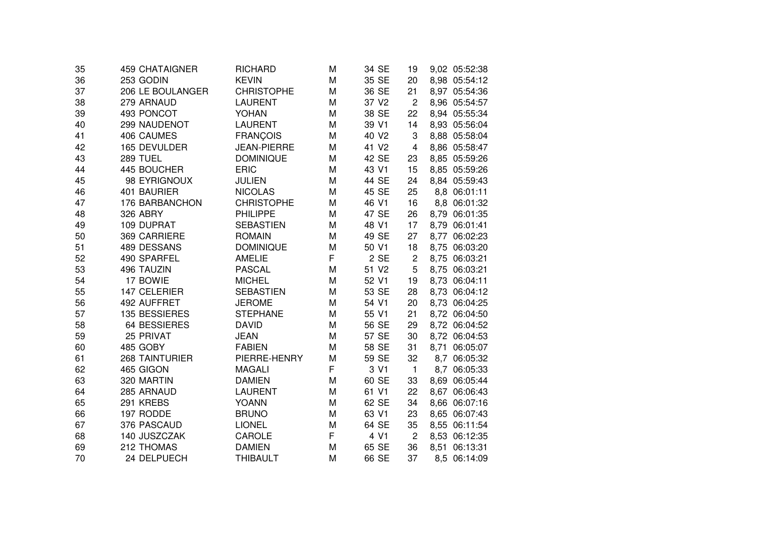| 35 | 459 CHATAIGNER        | <b>RICHARD</b>     | M | 34 SE             | 19             | 9,02 05:52:38 |
|----|-----------------------|--------------------|---|-------------------|----------------|---------------|
| 36 | 253 GODIN             | <b>KEVIN</b>       | M | 35 SE             | 20             | 8,98 05:54:12 |
| 37 | 206 LE BOULANGER      | <b>CHRISTOPHE</b>  | M | 36 SE             | 21             | 8,97 05:54:36 |
| 38 | 279 ARNAUD            | <b>LAURENT</b>     | M | 37 V <sub>2</sub> | $\overline{2}$ | 8,96 05:54:57 |
| 39 | 493 PONCOT            | <b>YOHAN</b>       | M | 38 SE             | 22             | 8,94 05:55:34 |
| 40 | 299 NAUDENOT          | <b>LAURENT</b>     | M | 39 V1             | 14             | 8,93 05:56:04 |
| 41 | 406 CAUMES            | <b>FRANÇOIS</b>    | M | 40 V2             | 3              | 8,88 05:58:04 |
| 42 | 165 DEVULDER          | <b>JEAN-PIERRE</b> | M | 41 V <sub>2</sub> | $\overline{4}$ | 8,86 05:58:47 |
| 43 | <b>289 TUEL</b>       | <b>DOMINIQUE</b>   | M | 42 SE             | 23             | 8,85 05:59:26 |
| 44 | 445 BOUCHER           | <b>ERIC</b>        | M | 43 V1             | 15             | 8,85 05:59:26 |
| 45 | 98 EYRIGNOUX          | <b>JULIEN</b>      | M | 44 SE             | 24             | 8,84 05:59:43 |
| 46 | 401 BAURIER           | <b>NICOLAS</b>     | M | 45 SE             | 25             | 8,8 06:01:11  |
| 47 | 176 BARBANCHON        | <b>CHRISTOPHE</b>  | M | 46 V1             | 16             | 8,8 06:01:32  |
| 48 | 326 ABRY              | <b>PHILIPPE</b>    | M | 47 SE             | 26             | 8,79 06:01:35 |
| 49 | 109 DUPRAT            | <b>SEBASTIEN</b>   | M | 48 V1             | 17             | 8,79 06:01:41 |
| 50 | 369 CARRIERE          | <b>ROMAIN</b>      | M | 49 SE             | 27             | 8,77 06:02:23 |
| 51 | 489 DESSANS           | <b>DOMINIQUE</b>   | M | 50 V1             | 18             | 8,75 06:03:20 |
| 52 | 490 SPARFEL           | <b>AMELIE</b>      | F | 2 SE              | $\overline{c}$ | 8,75 06:03:21 |
| 53 | 496 TAUZIN            | <b>PASCAL</b>      | M | 51 V2             | 5              | 8,75 06:03:21 |
| 54 | 17 BOWIE              | <b>MICHEL</b>      | M | 52 V1             | 19             | 8,73 06:04:11 |
| 55 | 147 CELERIER          | <b>SEBASTIEN</b>   | M | 53 SE             | 28             | 8,73 06:04:12 |
| 56 | 492 AUFFRET           | <b>JEROME</b>      | M | 54 V1             | 20             | 8,73 06:04:25 |
| 57 | 135 BESSIERES         | <b>STEPHANE</b>    | M | 55 V1             | 21             | 8,72 06:04:50 |
| 58 | <b>64 BESSIERES</b>   | <b>DAVID</b>       | M | 56 SE             | 29             | 8,72 06:04:52 |
| 59 | 25 PRIVAT             | <b>JEAN</b>        | M | 57 SE             | 30             | 8,72 06:04:53 |
| 60 | 485 GOBY              | <b>FABIEN</b>      | M | 58 SE             | 31             | 8,71 06:05:07 |
| 61 | <b>268 TAINTURIER</b> | PIERRE-HENRY       | M | 59 SE             | 32             | 8,7 06:05:32  |
| 62 | 465 GIGON             | <b>MAGALI</b>      | F | 3 V1              | $\mathbf{1}$   | 8,7 06:05:33  |
| 63 | 320 MARTIN            | <b>DAMIEN</b>      | M | 60 SE             | 33             | 8,69 06:05:44 |
| 64 | 285 ARNAUD            | <b>LAURENT</b>     | M | 61 V1             | 22             | 8,67 06:06:43 |
| 65 | 291 KREBS             | <b>YOANN</b>       | M | 62 SE             | 34             | 8,66 06:07:16 |
| 66 | 197 RODDE             | <b>BRUNO</b>       | M | 63 V1             | 23             | 8,65 06:07:43 |
| 67 | 376 PASCAUD           | <b>LIONEL</b>      | M | 64 SE             | 35             | 8,55 06:11:54 |
| 68 | 140 JUSZCZAK          | CAROLE             | F | 4 V1              | $\overline{2}$ | 8,53 06:12:35 |
| 69 | 212 THOMAS            | <b>DAMIEN</b>      | M | 65 SE             | 36             | 8,51 06:13:31 |
| 70 | 24 DELPUECH           | <b>THIBAULT</b>    | M | 66 SE             | 37             | 8,5 06:14:09  |
|    |                       |                    |   |                   |                |               |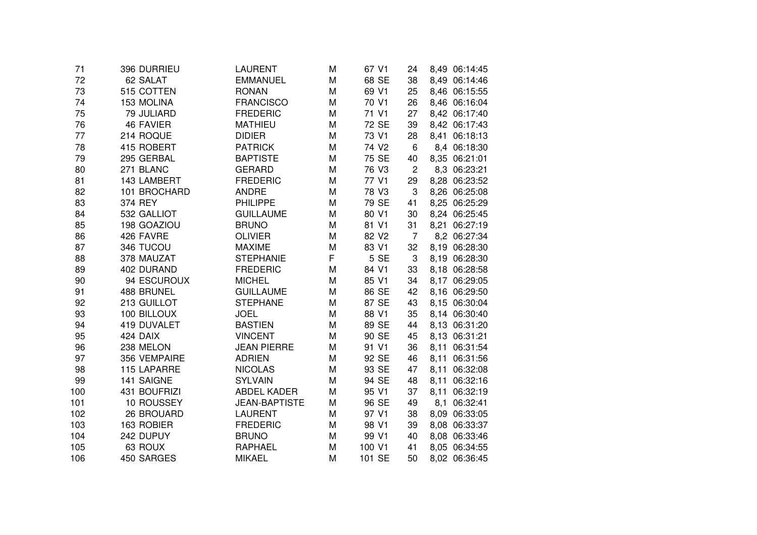| 71  | 396 DURRIEU      | LAURENT              | M | 67 V1             | 24             | 8,49 06:14:45    |
|-----|------------------|----------------------|---|-------------------|----------------|------------------|
| 72  | 62 SALAT         | <b>EMMANUEL</b>      | M | 68 SE             | 38             | 8,49 06:14:46    |
| 73  | 515 COTTEN       | <b>RONAN</b>         | M | 69 V1             | 25             | 8,46 06:15:55    |
| 74  | 153 MOLINA       | <b>FRANCISCO</b>     | M | 70 V1             | 26             | 8,46 06:16:04    |
| 75  | 79 JULIARD       | <b>FREDERIC</b>      | M | 71 V1             | 27             | 8,42 06:17:40    |
| 76  | <b>46 FAVIER</b> | <b>MATHIEU</b>       | M | 72 SE             | 39             | 8,42 06:17:43    |
| 77  | 214 ROQUE        | <b>DIDIER</b>        | M | 73 V1             | 28             | 8,41 06:18:13    |
| 78  | 415 ROBERT       | <b>PATRICK</b>       | M | 74 V <sub>2</sub> | 6              | 8,4 06:18:30     |
| 79  | 295 GERBAL       | <b>BAPTISTE</b>      | M | 75 SE             | 40             | 8,35 06:21:01    |
| 80  | 271 BLANC        | <b>GERARD</b>        | M | 76 V3             | $\overline{2}$ | 8,3 06:23:21     |
| 81  | 143 LAMBERT      | <b>FREDERIC</b>      | M | 77 V1             | 29             | 8,28 06:23:52    |
| 82  | 101 BROCHARD     | <b>ANDRE</b>         | M | 78 V3             | 3              | 8,26 06:25:08    |
| 83  | 374 REY          | <b>PHILIPPE</b>      | M | 79 SE             | 41             | 8,25 06:25:29    |
| 84  | 532 GALLIOT      | <b>GUILLAUME</b>     | M | 80 V1             | 30             | 8,24 06:25:45    |
| 85  | 198 GOAZIOU      | <b>BRUNO</b>         | M | 81 V1             | 31             | 8,21 06:27:19    |
| 86  | 426 FAVRE        | <b>OLIVIER</b>       | M | 82 V <sub>2</sub> | $\overline{7}$ | 8,2 06:27:34     |
| 87  | 346 TUCOU        | <b>MAXIME</b>        | M | 83 V1             | 32             | 8,19 06:28:30    |
| 88  | 378 MAUZAT       | <b>STEPHANIE</b>     | F | 5 SE              | 3              | 8,19 06:28:30    |
| 89  | 402 DURAND       | <b>FREDERIC</b>      | M | 84 V1             | 33             | 8,18 06:28:58    |
| 90  | 94 ESCUROUX      | <b>MICHEL</b>        | M | 85 V1             | 34             | 8,17 06:29:05    |
| 91  | 488 BRUNEL       | <b>GUILLAUME</b>     | M | 86 SE             | 42             | 8,16 06:29:50    |
| 92  | 213 GUILLOT      | <b>STEPHANE</b>      | M | 87 SE             | 43             | 8,15 06:30:04    |
| 93  | 100 BILLOUX      | <b>JOEL</b>          | M | 88 V1             | 35             | 8,14 06:30:40    |
| 94  | 419 DUVALET      | <b>BASTIEN</b>       | M | 89 SE             | 44             | 8,13 06:31:20    |
| 95  | 424 DAIX         | <b>VINCENT</b>       | M | 90 SE             | 45             | 8,13 06:31:21    |
| 96  | 238 MELON        | <b>JEAN PIERRE</b>   | M | 91 V1             | 36             | 8,11 06:31:54    |
| 97  | 356 VEMPAIRE     | <b>ADRIEN</b>        | M | 92 SE             | 46             | 8,11 06:31:56    |
| 98  | 115 LAPARRE      | <b>NICOLAS</b>       | M | 93 SE             | 47             | 8,11<br>06:32:08 |
| 99  | 141 SAIGNE       | <b>SYLVAIN</b>       | M | 94 SE             | 48             | 8,11<br>06:32:16 |
| 100 | 431 BOUFRIZI     | <b>ABDEL KADER</b>   | M | 95 V1             | 37             | 8,11<br>06:32:19 |
| 101 | 10 ROUSSEY       | <b>JEAN-BAPTISTE</b> | M | 96 SE             | 49             | 06:32:41<br>8,1  |
| 102 | 26 BROUARD       | <b>LAURENT</b>       | M | 97 V1             | 38             | 8,09 06:33:05    |
| 103 | 163 ROBIER       | <b>FREDERIC</b>      | M | 98 V1             | 39             | 8,08 06:33:37    |
| 104 | 242 DUPUY        | <b>BRUNO</b>         | M | 99 V1             | 40             | 8,08 06:33:46    |
| 105 | 63 ROUX          | <b>RAPHAEL</b>       | M | 100 V1            | 41             | 8,05 06:34:55    |
| 106 | 450 SARGES       | <b>MIKAEL</b>        | M | 101 SE            | 50             | 8,02 06:36:45    |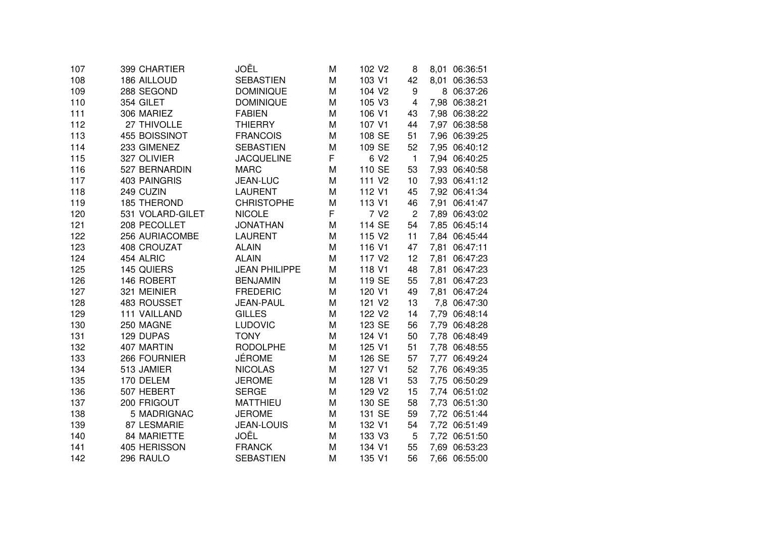| 107 | 399 CHARTIER        | JOËL                 | M | 102 V <sub>2</sub> | 8                       | 8,01 06:36:51    |
|-----|---------------------|----------------------|---|--------------------|-------------------------|------------------|
| 108 | 186 AILLOUD         | <b>SEBASTIEN</b>     | M | 103 V1             | 42                      | 8,01<br>06:36:53 |
| 109 | 288 SEGOND          | <b>DOMINIQUE</b>     | M | 104 V2             | 9                       | 8 06:37:26       |
| 110 | 354 GILET           | <b>DOMINIQUE</b>     | M | 105 V3             | $\overline{\mathbf{4}}$ | 7,98 06:38:21    |
| 111 | 306 MARIEZ          | <b>FABIEN</b>        | M | 106 V1             | 43                      | 7,98 06:38:22    |
| 112 | 27 THIVOLLE         | <b>THIERRY</b>       | M | 107 V1             | 44                      | 7,97 06:38:58    |
| 113 | 455 BOISSINOT       | <b>FRANCOIS</b>      | M | 108 SE             | 51                      | 7,96 06:39:25    |
| 114 | 233 GIMENEZ         | <b>SEBASTIEN</b>     | M | 109 SE             | 52                      | 7,95 06:40:12    |
| 115 | 327 OLIVIER         | <b>JACQUELINE</b>    | F | 6 V <sub>2</sub>   | $\mathbf{1}$            | 7,94 06:40:25    |
| 116 | 527 BERNARDIN       | <b>MARC</b>          | M | 110 SE             | 53                      | 7,93 06:40:58    |
| 117 | <b>403 PAINGRIS</b> | <b>JEAN-LUC</b>      | M | 111 V <sub>2</sub> | 10                      | 7,93 06:41:12    |
| 118 | 249 CUZIN           | <b>LAURENT</b>       | M | 112 V1             | 45                      | 7,92 06:41:34    |
| 119 | <b>185 THEROND</b>  | <b>CHRISTOPHE</b>    | M | 113 V1             | 46                      | 7,91<br>06:41:47 |
| 120 | 531 VOLARD-GILET    | <b>NICOLE</b>        | F | 7 V <sub>2</sub>   | $\overline{c}$          | 7,89 06:43:02    |
| 121 | 208 PECOLLET        | <b>JONATHAN</b>      | M | 114 SE             | 54                      | 7,85 06:45:14    |
| 122 | 256 AURIACOMBE      | <b>LAURENT</b>       | M | 115 V2             | 11                      | 7,84 06:45:44    |
| 123 | 408 CROUZAT         | <b>ALAIN</b>         | M | 116 V1             | 47                      | 7,81<br>06:47:11 |
| 124 | 454 ALRIC           | <b>ALAIN</b>         | M | 117 V <sub>2</sub> | 12                      | 7,81<br>06:47:23 |
| 125 | 145 QUIERS          | <b>JEAN PHILIPPE</b> | M | 118 V1             | 48                      | 7,81<br>06:47:23 |
| 126 | 146 ROBERT          | <b>BENJAMIN</b>      | M | 119 SE             | 55                      | 7,81<br>06:47:23 |
| 127 | 321 MEINIER         | <b>FREDERIC</b>      | M | 120 V1             | 49                      | 06:47:24<br>7,81 |
| 128 | 483 ROUSSET         | <b>JEAN-PAUL</b>     | M | 121 V2             | 13                      | 7,8 06:47:30     |
| 129 | <b>111 VAILLAND</b> | <b>GILLES</b>        | M | 122 V <sub>2</sub> | 14                      | 7,79 06:48:14    |
| 130 | 250 MAGNE           | <b>LUDOVIC</b>       | M | 123 SE             | 56                      | 7,79 06:48:28    |
| 131 | 129 DUPAS           | <b>TONY</b>          | M | 124 V1             | 50                      | 7,78 06:48:49    |
| 132 | 407 MARTIN          | <b>RODOLPHE</b>      | M | 125 V1             | 51                      | 7,78 06:48:55    |
| 133 | 266 FOURNIER        | <b>JÉROME</b>        | M | 126 SE             | 57                      | 7,77 06:49:24    |
| 134 | 513 JAMIER          | <b>NICOLAS</b>       | M | 127 V1             | 52                      | 7,76 06:49:35    |
| 135 | 170 DELEM           | <b>JEROME</b>        | M | 128 V1             | 53                      | 7,75 06:50:29    |
| 136 | 507 HEBERT          | <b>SERGE</b>         | M | 129 V2             | 15                      | 7,74 06:51:02    |
| 137 | 200 FRIGOUT         | <b>MATTHIEU</b>      | M | 130 SE             | 58                      | 7,73 06:51:30    |
| 138 | 5 MADRIGNAC         | <b>JEROME</b>        | M | 131 SE             | 59                      | 7,72 06:51:44    |
| 139 | 87 LESMARIE         | <b>JEAN-LOUIS</b>    | M | 132 V1             | 54                      | 7,72 06:51:49    |
| 140 | 84 MARIETTE         | JOËL                 | M | 133 V3             | 5                       | 7,72 06:51:50    |
| 141 | 405 HERISSON        | <b>FRANCK</b>        | M | 134 V1             | 55                      | 7,69 06:53:23    |
| 142 | 296 RAULO           | <b>SEBASTIEN</b>     | M | 135 V1             | 56                      | 7,66 06:55:00    |
|     |                     |                      |   |                    |                         |                  |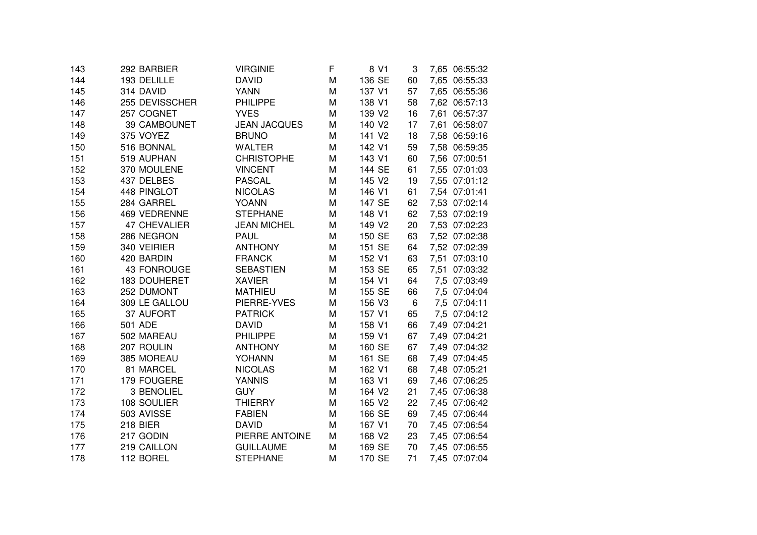| 143 | 292 BARBIER         | <b>VIRGINIE</b>     | F | 8 V1   | 3  | 7,65 06:55:32 |
|-----|---------------------|---------------------|---|--------|----|---------------|
| 144 | 193 DELILLE         | <b>DAVID</b>        | M | 136 SE | 60 | 7,65 06:55:33 |
| 145 | 314 DAVID           | <b>YANN</b>         | M | 137 V1 | 57 | 7,65 06:55:36 |
| 146 | 255 DEVISSCHER      | <b>PHILIPPE</b>     | M | 138 V1 | 58 | 7,62 06:57:13 |
| 147 | 257 COGNET          | <b>YVES</b>         | M | 139 V2 | 16 | 7,61 06:57:37 |
| 148 | 39 CAMBOUNET        | <b>JEAN JACQUES</b> | M | 140 V2 | 17 | 7,61 06:58:07 |
| 149 | 375 VOYEZ           | <b>BRUNO</b>        | M | 141 V2 | 18 | 7,58 06:59:16 |
| 150 | 516 BONNAL          | <b>WALTER</b>       | M | 142 V1 | 59 | 7,58 06:59:35 |
| 151 | 519 AUPHAN          | <b>CHRISTOPHE</b>   | M | 143 V1 | 60 | 7,56 07:00:51 |
| 152 | 370 MOULENE         | <b>VINCENT</b>      | M | 144 SE | 61 | 7,55 07:01:03 |
| 153 | 437 DELBES          | <b>PASCAL</b>       | M | 145 V2 | 19 | 7,55 07:01:12 |
| 154 | 448 PINGLOT         | <b>NICOLAS</b>      | M | 146 V1 | 61 | 7,54 07:01:41 |
| 155 | 284 GARREL          | <b>YOANN</b>        | M | 147 SE | 62 | 7,53 07:02:14 |
| 156 | 469 VEDRENNE        | <b>STEPHANE</b>     | M | 148 V1 | 62 | 7,53 07:02:19 |
| 157 | <b>47 CHEVALIER</b> | <b>JEAN MICHEL</b>  | M | 149 V2 | 20 | 7,53 07:02:23 |
| 158 | 286 NEGRON          | <b>PAUL</b>         | M | 150 SE | 63 | 7,52 07:02:38 |
| 159 | 340 VEIRIER         | <b>ANTHONY</b>      | M | 151 SE | 64 | 7,52 07:02:39 |
| 160 | 420 BARDIN          | <b>FRANCK</b>       | M | 152 V1 | 63 | 7,51 07:03:10 |
| 161 | 43 FONROUGE         | <b>SEBASTIEN</b>    | M | 153 SE | 65 | 7,51 07:03:32 |
| 162 | <b>183 DOUHERET</b> | <b>XAVIER</b>       | M | 154 V1 | 64 | 7,5 07:03:49  |
| 163 | 252 DUMONT          | <b>MATHIEU</b>      | M | 155 SE | 66 | 7,5 07:04:04  |
| 164 | 309 LE GALLOU       | PIERRE-YVES         | M | 156 V3 | 6  | 7,5 07:04:11  |
| 165 | 37 AUFORT           | <b>PATRICK</b>      | M | 157 V1 | 65 | 7,5 07:04:12  |
| 166 | 501 ADE             | <b>DAVID</b>        | M | 158 V1 | 66 | 7,49 07:04:21 |
| 167 | 502 MAREAU          | <b>PHILIPPE</b>     | M | 159 V1 | 67 | 7,49 07:04:21 |
| 168 | 207 ROULIN          | <b>ANTHONY</b>      | M | 160 SE | 67 | 7,49 07:04:32 |
| 169 | 385 MOREAU          | YOHANN              | M | 161 SE | 68 | 7,49 07:04:45 |
| 170 | 81 MARCEL           | <b>NICOLAS</b>      | M | 162 V1 | 68 | 7,48 07:05:21 |
| 171 | 179 FOUGERE         | <b>YANNIS</b>       | M | 163 V1 | 69 | 7,46 07:06:25 |
| 172 | 3 BENOLIEL          | <b>GUY</b>          | M | 164 V2 | 21 | 7,45 07:06:38 |
| 173 | 108 SOULIER         | <b>THIERRY</b>      | M | 165 V2 | 22 | 7,45 07:06:42 |
| 174 | 503 AVISSE          | <b>FABIEN</b>       | M | 166 SE | 69 | 7,45 07:06:44 |
| 175 | <b>218 BIER</b>     | <b>DAVID</b>        | M | 167 V1 | 70 | 7,45 07:06:54 |
| 176 | 217 GODIN           | PIERRE ANTOINE      | M | 168 V2 | 23 | 7,45 07:06:54 |
| 177 | 219 CAILLON         | <b>GUILLAUME</b>    | M | 169 SE | 70 | 7,45 07:06:55 |
| 178 | 112 BOREL           | <b>STEPHANE</b>     | M | 170 SE | 71 | 7,45 07:07:04 |
|     |                     |                     |   |        |    |               |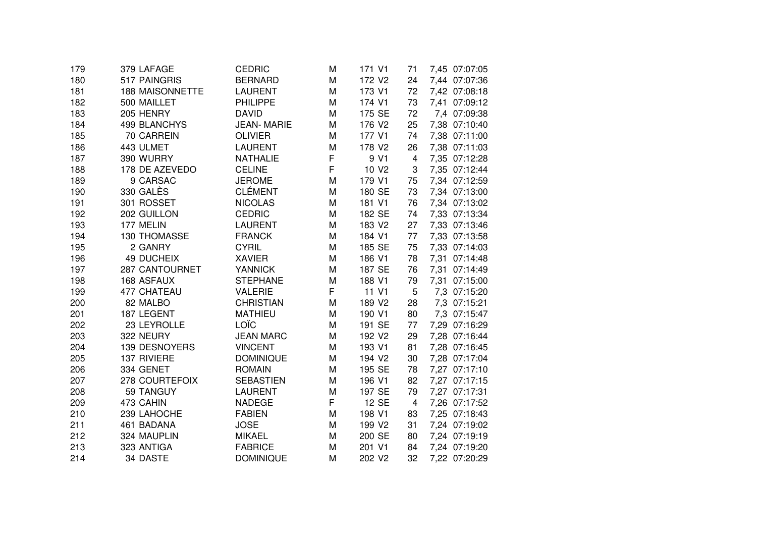| 379 LAFAGE             | <b>CEDRIC</b>                                                                                                                                                    | M                                                                                                                                                                                                            | 171 V1                          | 71                                                                                                            | 7,45 07:07:05                                            |
|------------------------|------------------------------------------------------------------------------------------------------------------------------------------------------------------|--------------------------------------------------------------------------------------------------------------------------------------------------------------------------------------------------------------|---------------------------------|---------------------------------------------------------------------------------------------------------------|----------------------------------------------------------|
| 517 PAINGRIS           | <b>BERNARD</b>                                                                                                                                                   | M                                                                                                                                                                                                            | 172 V2                          | 24                                                                                                            | 7,44 07:07:36                                            |
| <b>188 MAISONNETTE</b> | <b>LAURENT</b>                                                                                                                                                   | M                                                                                                                                                                                                            | 173 V1                          | 72                                                                                                            | 7,42 07:08:18                                            |
| 500 MAILLET            | <b>PHILIPPE</b>                                                                                                                                                  | M                                                                                                                                                                                                            | 174 V1                          | 73                                                                                                            | 7,41 07:09:12                                            |
| 205 HENRY              | <b>DAVID</b>                                                                                                                                                     | M                                                                                                                                                                                                            | 175 SE                          | 72                                                                                                            | 7,4 07:09:38                                             |
| 499 BLANCHYS           | <b>JEAN-MARIE</b>                                                                                                                                                | M                                                                                                                                                                                                            | 176 V2                          | 25                                                                                                            | 7,38 07:10:40                                            |
| 70 CARREIN             | <b>OLIVIER</b>                                                                                                                                                   | M                                                                                                                                                                                                            | 177 V1                          | 74                                                                                                            | 7,38 07:11:00                                            |
| 443 ULMET              | <b>LAURENT</b>                                                                                                                                                   | M                                                                                                                                                                                                            | 178 V2                          | 26                                                                                                            | 7,38 07:11:03                                            |
| 390 WURRY              | <b>NATHALIE</b>                                                                                                                                                  | F                                                                                                                                                                                                            | 9 V1                            | $\overline{4}$                                                                                                | 7,35 07:12:28                                            |
| 178 DE AZEVEDO         | <b>CELINE</b>                                                                                                                                                    | F                                                                                                                                                                                                            | 10 V <sub>2</sub>               | 3                                                                                                             | 7,35 07:12:44                                            |
| 9 CARSAC               | <b>JEROME</b>                                                                                                                                                    | M                                                                                                                                                                                                            | 179 V1                          | 75                                                                                                            | 7,34 07:12:59                                            |
| 330 GALÈS              | <b>CLÉMENT</b>                                                                                                                                                   | M                                                                                                                                                                                                            | 180 SE                          | 73                                                                                                            | 7,34 07:13:00                                            |
| 301 ROSSET             | <b>NICOLAS</b>                                                                                                                                                   | M                                                                                                                                                                                                            | 181 V1                          | 76                                                                                                            | 7,34 07:13:02                                            |
| 202 GUILLON            | <b>CEDRIC</b>                                                                                                                                                    | M                                                                                                                                                                                                            | 182 SE                          | 74                                                                                                            | 7,33 07:13:34                                            |
| 177 MELIN              | <b>LAURENT</b>                                                                                                                                                   | M                                                                                                                                                                                                            | 183 V2                          | 27                                                                                                            | 7,33 07:13:46                                            |
| 130 THOMASSE           | <b>FRANCK</b>                                                                                                                                                    | M                                                                                                                                                                                                            | 184 V1                          | 77                                                                                                            | 7,33 07:13:58                                            |
| 2 GANRY                | <b>CYRIL</b>                                                                                                                                                     | M                                                                                                                                                                                                            | 185 SE                          | 75                                                                                                            | 7,33 07:14:03                                            |
| <b>49 DUCHEIX</b>      | <b>XAVIER</b>                                                                                                                                                    | M                                                                                                                                                                                                            | 186 V1                          | 78                                                                                                            | 7,31 07:14:48                                            |
| 287 CANTOURNET         | <b>YANNICK</b>                                                                                                                                                   | M                                                                                                                                                                                                            | 187 SE                          | 76                                                                                                            | 7,31 07:14:49                                            |
| 168 ASFAUX             | <b>STEPHANE</b>                                                                                                                                                  | M                                                                                                                                                                                                            | 188 V1                          | 79                                                                                                            | 7,31 07:15:00                                            |
| 477 CHATEAU            | <b>VALERIE</b>                                                                                                                                                   |                                                                                                                                                                                                              | 11 V1                           | 5                                                                                                             | 7,3 07:15:20                                             |
|                        |                                                                                                                                                                  | M                                                                                                                                                                                                            |                                 |                                                                                                               | 7,3 07:15:21                                             |
| 187 LEGENT             | <b>MATHIEU</b>                                                                                                                                                   | M                                                                                                                                                                                                            | 190 V1                          |                                                                                                               | 7,3 07:15:47                                             |
| 23 LEYROLLE            |                                                                                                                                                                  | M                                                                                                                                                                                                            | 191 SE                          | 77                                                                                                            | 7,29 07:16:29                                            |
|                        |                                                                                                                                                                  | M                                                                                                                                                                                                            |                                 |                                                                                                               | 7,28 07:16:44                                            |
|                        |                                                                                                                                                                  | M                                                                                                                                                                                                            | 193 V1                          |                                                                                                               | 7,28 07:16:45                                            |
|                        |                                                                                                                                                                  |                                                                                                                                                                                                              |                                 |                                                                                                               | 7,28 07:17:04                                            |
|                        |                                                                                                                                                                  | M                                                                                                                                                                                                            |                                 |                                                                                                               | 7,27 07:17:10                                            |
|                        |                                                                                                                                                                  |                                                                                                                                                                                                              |                                 |                                                                                                               | 7,27 07:17:15                                            |
|                        |                                                                                                                                                                  |                                                                                                                                                                                                              |                                 |                                                                                                               | 7,27 07:17:31                                            |
|                        |                                                                                                                                                                  |                                                                                                                                                                                                              |                                 | 4                                                                                                             | 7,26 07:17:52                                            |
|                        |                                                                                                                                                                  |                                                                                                                                                                                                              |                                 |                                                                                                               | 7,25 07:18:43                                            |
|                        |                                                                                                                                                                  |                                                                                                                                                                                                              |                                 |                                                                                                               | 7,24 07:19:02                                            |
| 324 MAUPLIN            | <b>MIKAEL</b>                                                                                                                                                    | M                                                                                                                                                                                                            | 200 SE                          | 80                                                                                                            | 7,24 07:19:19                                            |
|                        |                                                                                                                                                                  | M                                                                                                                                                                                                            | 201 V1                          | 84                                                                                                            | 7,24 07:19:20                                            |
| 34 DASTE               | <b>DOMINIQUE</b>                                                                                                                                                 | M                                                                                                                                                                                                            | 202 V2                          | 32                                                                                                            | 7,22 07:20:29                                            |
|                        | 82 MALBO<br>322 NEURY<br><b>139 DESNOYERS</b><br>137 RIVIERE<br>334 GENET<br>278 COURTEFOIX<br>59 TANGUY<br>473 CAHIN<br>239 LAHOCHE<br>461 BADANA<br>323 ANTIGA | <b>CHRISTIAN</b><br>LOÏC<br><b>JEAN MARC</b><br><b>VINCENT</b><br><b>DOMINIQUE</b><br><b>ROMAIN</b><br><b>SEBASTIEN</b><br><b>LAURENT</b><br><b>NADEGE</b><br><b>FABIEN</b><br><b>JOSE</b><br><b>FABRICE</b> | F<br>M<br>M<br>M<br>F<br>M<br>M | 189 V2<br>192 V <sub>2</sub><br>194 V2<br>195 SE<br>196 V1<br>197 SE<br>12 SE<br>198 V1<br>199 V <sub>2</sub> | 28<br>80<br>29<br>81<br>30<br>78<br>82<br>79<br>83<br>31 |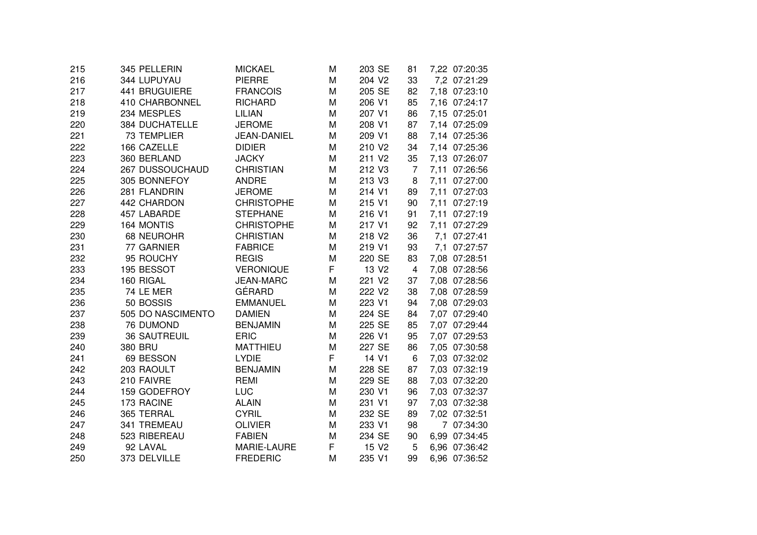| 215 | 345 PELLERIN          | <b>MICKAEL</b>     | Μ | 203 SE             | 81             | 7,22 07:20:35 |  |
|-----|-----------------------|--------------------|---|--------------------|----------------|---------------|--|
| 216 | 344 LUPUYAU           | <b>PIERRE</b>      | M | 204 V2             | 33             | 7,2 07:21:29  |  |
| 217 | 441 BRUGUIERE         | <b>FRANCOIS</b>    | M | 205 SE             | 82             | 7,18 07:23:10 |  |
| 218 | 410 CHARBONNEL        | <b>RICHARD</b>     | M | 206 V1             | 85             | 7,16 07:24:17 |  |
| 219 | 234 MESPLES           | <b>LILIAN</b>      | M | 207 V1             | 86             | 7,15 07:25:01 |  |
| 220 | <b>384 DUCHATELLE</b> | <b>JEROME</b>      | M | 208 V1             | 87             | 7,14 07:25:09 |  |
| 221 | <b>73 TEMPLIER</b>    | <b>JEAN-DANIEL</b> | M | 209 V1             | 88             | 7,14 07:25:36 |  |
| 222 | 166 CAZELLE           | <b>DIDIER</b>      | M | 210 V2             | 34             | 7,14 07:25:36 |  |
| 223 | 360 BERLAND           | <b>JACKY</b>       | M | 211 V <sub>2</sub> | 35             | 7,13 07:26:07 |  |
| 224 | 267 DUSSOUCHAUD       | <b>CHRISTIAN</b>   | M | 212 V3             | $\overline{7}$ | 7,11 07:26:56 |  |
| 225 | 305 BONNEFOY          | <b>ANDRE</b>       | M | 213 V3             | 8              | 7,11 07:27:00 |  |
| 226 | 281 FLANDRIN          | <b>JEROME</b>      | M | 214 V1             | 89             | 7,11 07:27:03 |  |
| 227 | 442 CHARDON           | <b>CHRISTOPHE</b>  | M | 215 V1             | 90             | 7,11 07:27:19 |  |
| 228 | 457 LABARDE           | <b>STEPHANE</b>    | M | 216 V1             | 91             | 7,11 07:27:19 |  |
| 229 | 164 MONTIS            | <b>CHRISTOPHE</b>  | M | 217 V1             | 92             | 7,11 07:27:29 |  |
| 230 | 68 NEUROHR            | <b>CHRISTIAN</b>   | M | 218 V2             | 36             | 7,1 07:27:41  |  |
| 231 | 77 GARNIER            | <b>FABRICE</b>     | M | 219 V1             | 93             | 7,1 07:27:57  |  |
| 232 | 95 ROUCHY             | <b>REGIS</b>       | M | 220 SE             | 83             | 7,08 07:28:51 |  |
| 233 | 195 BESSOT            | <b>VERONIQUE</b>   | F | 13 V <sub>2</sub>  | 4              | 7,08 07:28:56 |  |
| 234 | 160 RIGAL             | <b>JEAN-MARC</b>   | M | 221 V2             | 37             | 7,08 07:28:56 |  |
| 235 | 74 LE MER             | GÉRARD             | M | 222 V <sub>2</sub> | 38             | 7,08 07:28:59 |  |
| 236 | 50 BOSSIS             | <b>EMMANUEL</b>    | M | 223 V1             | 94             | 7,08 07:29:03 |  |
| 237 | 505 DO NASCIMENTO     | <b>DAMIEN</b>      | M | 224 SE             | 84             | 7,07 07:29:40 |  |
| 238 | 76 DUMOND             | <b>BENJAMIN</b>    | M | 225 SE             | 85             | 7,07 07:29:44 |  |
| 239 | <b>36 SAUTREUIL</b>   | <b>ERIC</b>        | M | 226 V1             | 95             | 7,07 07:29:53 |  |
| 240 | 380 BRU               | <b>MATTHIEU</b>    | M | 227 SE             | 86             | 7,05 07:30:58 |  |
| 241 | 69 BESSON             | <b>LYDIE</b>       | F | 14 V1              | 6              | 7,03 07:32:02 |  |
| 242 | 203 RAOULT            | <b>BENJAMIN</b>    | M | 228 SE             | 87             | 7,03 07:32:19 |  |
| 243 | 210 FAIVRE            | <b>REMI</b>        | M | 229 SE             | 88             | 7,03 07:32:20 |  |
| 244 | 159 GODEFROY          | <b>LUC</b>         | M | 230 V1             | 96             | 7,03 07:32:37 |  |
| 245 | 173 RACINE            | <b>ALAIN</b>       | M | 231 V1             | 97             | 7,03 07:32:38 |  |
| 246 | 365 TERRAL            | <b>CYRIL</b>       | M | 232 SE             | 89             | 7,02 07:32:51 |  |
| 247 | 341 TREMEAU           | <b>OLIVIER</b>     | M | 233 V1             | 98             | 7 07:34:30    |  |
| 248 | 523 RIBEREAU          | <b>FABIEN</b>      | M | 234 SE             | 90             | 6,99 07:34:45 |  |
| 249 | 92 LAVAL              | MARIE-LAURE        | F | 15 V <sub>2</sub>  | 5              | 6,96 07:36:42 |  |
| 250 | 373 DELVILLE          | <b>FREDERIC</b>    | M | 235 V1             | 99             | 6,96 07:36:52 |  |
|     |                       |                    |   |                    |                |               |  |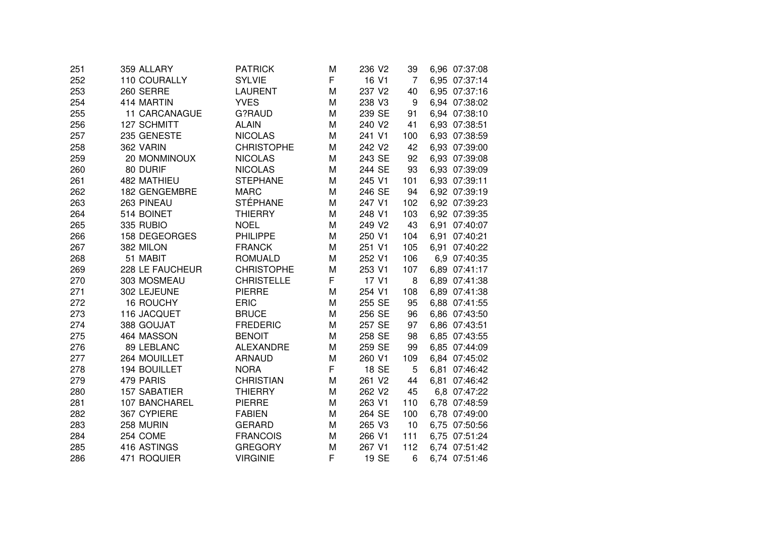| 251 | 359 ALLARY          | <b>PATRICK</b>    | M | 236 V <sub>2</sub> | 39             | 6,96 07:37:08 |
|-----|---------------------|-------------------|---|--------------------|----------------|---------------|
| 252 | 110 COURALLY        | <b>SYLVIE</b>     | F | 16 V1              | $\overline{7}$ | 6,95 07:37:14 |
| 253 | 260 SERRE           | <b>LAURENT</b>    | M | 237 V2             | 40             | 6,95 07:37:16 |
| 254 | 414 MARTIN          | <b>YVES</b>       | M | 238 V3             | 9              | 6,94 07:38:02 |
| 255 | 11 CARCANAGUE       | G?RAUD            | M | 239 SE             | 91             | 6,94 07:38:10 |
| 256 | 127 SCHMITT         | <b>ALAIN</b>      | M | 240 V2             | 41             | 6,93 07:38:51 |
| 257 | 235 GENESTE         | <b>NICOLAS</b>    | M | 241 V1             | 100            | 6,93 07:38:59 |
| 258 | 362 VARIN           | <b>CHRISTOPHE</b> | M | 242 V2             | 42             | 6,93 07:39:00 |
| 259 | 20 MONMINOUX        | <b>NICOLAS</b>    | M | 243 SE             | 92             | 6,93 07:39:08 |
| 260 | 80 DURIF            | <b>NICOLAS</b>    | M | 244 SE             | 93             | 6,93 07:39:09 |
| 261 | 482 MATHIEU         | <b>STEPHANE</b>   | M | 245 V1             | 101            | 6,93 07:39:11 |
| 262 | 182 GENGEMBRE       | <b>MARC</b>       | M | 246 SE             | 94             | 6,92 07:39:19 |
| 263 | 263 PINEAU          | <b>STÉPHANE</b>   | M | 247 V1             | 102            | 6,92 07:39:23 |
| 264 | 514 BOINET          | <b>THIERRY</b>    | M | 248 V1             | 103            | 6,92 07:39:35 |
| 265 | 335 RUBIO           | <b>NOEL</b>       | M | 249 V2             | 43             | 6,91 07:40:07 |
| 266 | 158 DEGEORGES       | <b>PHILIPPE</b>   | M | 250 V1             | 104            | 6,91 07:40:21 |
| 267 | 382 MILON           | <b>FRANCK</b>     | M | 251 V1             | 105            | 6,91 07:40:22 |
| 268 | 51 MABIT            | <b>ROMUALD</b>    | M | 252 V1             | 106            | 6,9 07:40:35  |
| 269 | 228 LE FAUCHEUR     | <b>CHRISTOPHE</b> | M | 253 V1             | 107            | 6,89 07:41:17 |
| 270 | 303 MOSMEAU         | <b>CHRISTELLE</b> | F | 17 V1              | 8              | 6,89 07:41:38 |
| 271 | 302 LEJEUNE         | <b>PIERRE</b>     | M | 254 V1             | 108            | 6,89 07:41:38 |
| 272 | <b>16 ROUCHY</b>    | <b>ERIC</b>       | M | 255 SE             | 95             | 6,88 07:41:55 |
| 273 | 116 JACQUET         | <b>BRUCE</b>      | M | 256 SE             | 96             | 6,86 07:43:50 |
| 274 | 388 GOUJAT          | <b>FREDERIC</b>   | M | 257 SE             | 97             | 6,86 07:43:51 |
| 275 | 464 MASSON          | <b>BENOIT</b>     | M | 258 SE             | 98             | 6,85 07:43:55 |
| 276 | 89 LEBLANC          | <b>ALEXANDRE</b>  | M | 259 SE             | 99             | 6,85 07:44:09 |
| 277 | 264 MOUILLET        | <b>ARNAUD</b>     | M | 260 V1             | 109            | 6,84 07:45:02 |
| 278 | 194 BOUILLET        | <b>NORA</b>       | F | 18 SE              | 5              | 6,81 07:46:42 |
| 279 | 479 PARIS           | <b>CHRISTIAN</b>  | M | 261 V2             | 44             | 6,81 07:46:42 |
| 280 | <b>157 SABATIER</b> | <b>THIERRY</b>    | M | 262 V2             | 45             | 6,8 07:47:22  |
| 281 | 107 BANCHAREL       | <b>PIERRE</b>     | M | 263 V1             | 110            | 6,78 07:48:59 |
| 282 | 367 CYPIERE         | <b>FABIEN</b>     | M | 264 SE             | 100            | 6,78 07:49:00 |
| 283 | 258 MURIN           | <b>GERARD</b>     | M | 265 V3             | 10             | 6,75 07:50:56 |
| 284 | 254 COME            | <b>FRANCOIS</b>   | Μ | 266 V1             | 111            | 6,75 07:51:24 |
| 285 | 416 ASTINGS         | <b>GREGORY</b>    | M | 267 V1             | 112            | 6,74 07:51:42 |
| 286 | 471 ROQUIER         | <b>VIRGINIE</b>   | F | 19 SE              | 6              | 6,74 07:51:46 |
|     |                     |                   |   |                    |                |               |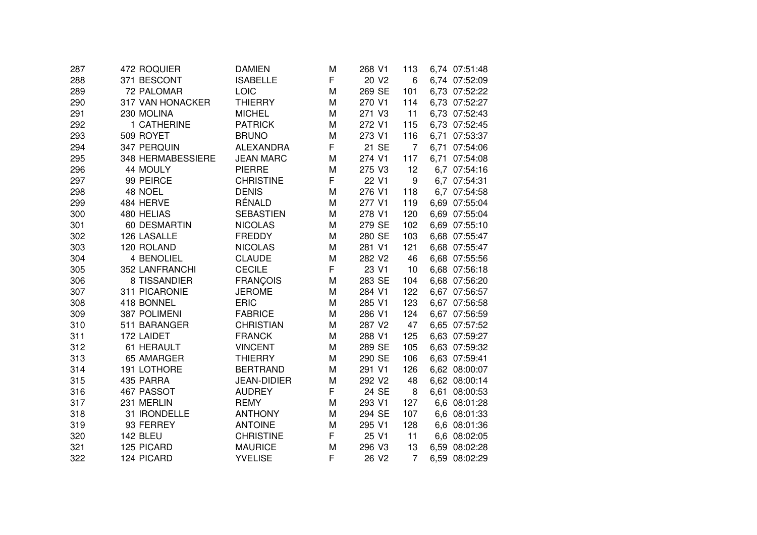|  |                                                                                                                                                                                                                                                                                                                                                                                                                                                                                                                                              |                                                                                                         |                                                |                                                                             |                                                                     | 6,74 07:51:48 |
|--|----------------------------------------------------------------------------------------------------------------------------------------------------------------------------------------------------------------------------------------------------------------------------------------------------------------------------------------------------------------------------------------------------------------------------------------------------------------------------------------------------------------------------------------------|---------------------------------------------------------------------------------------------------------|------------------------------------------------|-----------------------------------------------------------------------------|---------------------------------------------------------------------|---------------|
|  | <b>ISABELLE</b>                                                                                                                                                                                                                                                                                                                                                                                                                                                                                                                              | F                                                                                                       | 20 V <sub>2</sub>                              | 6                                                                           |                                                                     | 6,74 07:52:09 |
|  | LOIC                                                                                                                                                                                                                                                                                                                                                                                                                                                                                                                                         | M                                                                                                       | 269 SE                                         | 101                                                                         |                                                                     | 6,73 07:52:22 |
|  | <b>THIERRY</b>                                                                                                                                                                                                                                                                                                                                                                                                                                                                                                                               | M                                                                                                       | 270 V1                                         | 114                                                                         |                                                                     | 6,73 07:52:27 |
|  | <b>MICHEL</b>                                                                                                                                                                                                                                                                                                                                                                                                                                                                                                                                | M                                                                                                       | 271 V3                                         | 11                                                                          |                                                                     | 6,73 07:52:43 |
|  | <b>PATRICK</b>                                                                                                                                                                                                                                                                                                                                                                                                                                                                                                                               | M                                                                                                       | 272 V1                                         | 115                                                                         |                                                                     | 6,73 07:52:45 |
|  | <b>BRUNO</b>                                                                                                                                                                                                                                                                                                                                                                                                                                                                                                                                 | M                                                                                                       | 273 V1                                         | 116                                                                         |                                                                     | 6,71 07:53:37 |
|  | <b>ALEXANDRA</b>                                                                                                                                                                                                                                                                                                                                                                                                                                                                                                                             | F                                                                                                       | 21 SE                                          | $\overline{7}$                                                              |                                                                     | 6,71 07:54:06 |
|  | <b>JEAN MARC</b>                                                                                                                                                                                                                                                                                                                                                                                                                                                                                                                             | M                                                                                                       | 274 V1                                         | 117                                                                         |                                                                     | 6,71 07:54:08 |
|  | <b>PIERRE</b>                                                                                                                                                                                                                                                                                                                                                                                                                                                                                                                                | M                                                                                                       | 275 V3                                         | 12                                                                          |                                                                     | 6,7 07:54:16  |
|  | <b>CHRISTINE</b>                                                                                                                                                                                                                                                                                                                                                                                                                                                                                                                             | F                                                                                                       | 22 V1                                          | 9                                                                           |                                                                     | 6,7 07:54:31  |
|  | <b>DENIS</b>                                                                                                                                                                                                                                                                                                                                                                                                                                                                                                                                 | M                                                                                                       | 276 V1                                         | 118                                                                         |                                                                     | 6,7 07:54:58  |
|  | RÉNALD                                                                                                                                                                                                                                                                                                                                                                                                                                                                                                                                       | M                                                                                                       | 277 V1                                         | 119                                                                         |                                                                     | 6,69 07:55:04 |
|  | <b>SEBASTIEN</b>                                                                                                                                                                                                                                                                                                                                                                                                                                                                                                                             | M                                                                                                       | 278 V1                                         | 120                                                                         |                                                                     | 6,69 07:55:04 |
|  | <b>NICOLAS</b>                                                                                                                                                                                                                                                                                                                                                                                                                                                                                                                               | M                                                                                                       | 279 SE                                         | 102                                                                         |                                                                     | 6,69 07:55:10 |
|  | <b>FREDDY</b>                                                                                                                                                                                                                                                                                                                                                                                                                                                                                                                                | M                                                                                                       | 280 SE                                         | 103                                                                         |                                                                     | 6,68 07:55:47 |
|  | <b>NICOLAS</b>                                                                                                                                                                                                                                                                                                                                                                                                                                                                                                                               | M                                                                                                       | 281 V1                                         | 121                                                                         |                                                                     | 6,68 07:55:47 |
|  | <b>CLAUDE</b>                                                                                                                                                                                                                                                                                                                                                                                                                                                                                                                                | M                                                                                                       | 282 V2                                         | 46                                                                          |                                                                     | 6,68 07:55:56 |
|  | <b>CECILE</b>                                                                                                                                                                                                                                                                                                                                                                                                                                                                                                                                |                                                                                                         | 23 V1                                          | 10                                                                          |                                                                     | 6,68 07:56:18 |
|  | <b>FRANCOIS</b>                                                                                                                                                                                                                                                                                                                                                                                                                                                                                                                              | M                                                                                                       | 283 SE                                         | 104                                                                         |                                                                     | 6,68 07:56:20 |
|  | <b>JEROME</b>                                                                                                                                                                                                                                                                                                                                                                                                                                                                                                                                | M                                                                                                       | 284 V1                                         | 122                                                                         |                                                                     | 6,67 07:56:57 |
|  | <b>ERIC</b>                                                                                                                                                                                                                                                                                                                                                                                                                                                                                                                                  | M                                                                                                       | 285 V1                                         | 123                                                                         |                                                                     | 6,67 07:56:58 |
|  | <b>FABRICE</b>                                                                                                                                                                                                                                                                                                                                                                                                                                                                                                                               | M                                                                                                       | 286 V1                                         | 124                                                                         |                                                                     | 6,67 07:56:59 |
|  | <b>CHRISTIAN</b>                                                                                                                                                                                                                                                                                                                                                                                                                                                                                                                             | M                                                                                                       | 287 V2                                         | 47                                                                          |                                                                     | 6,65 07:57:52 |
|  | <b>FRANCK</b>                                                                                                                                                                                                                                                                                                                                                                                                                                                                                                                                | M                                                                                                       | 288 V1                                         | 125                                                                         |                                                                     | 6,63 07:59:27 |
|  | <b>VINCENT</b>                                                                                                                                                                                                                                                                                                                                                                                                                                                                                                                               | M                                                                                                       | 289 SE                                         | 105                                                                         |                                                                     | 6,63 07:59:32 |
|  | <b>THIERRY</b>                                                                                                                                                                                                                                                                                                                                                                                                                                                                                                                               |                                                                                                         |                                                |                                                                             |                                                                     | 6,63 07:59:41 |
|  | <b>BERTRAND</b>                                                                                                                                                                                                                                                                                                                                                                                                                                                                                                                              | M                                                                                                       |                                                |                                                                             |                                                                     | 6,62 08:00:07 |
|  |                                                                                                                                                                                                                                                                                                                                                                                                                                                                                                                                              |                                                                                                         |                                                |                                                                             |                                                                     | 6,62 08:00:14 |
|  |                                                                                                                                                                                                                                                                                                                                                                                                                                                                                                                                              |                                                                                                         |                                                |                                                                             |                                                                     | 6,61 08:00:53 |
|  |                                                                                                                                                                                                                                                                                                                                                                                                                                                                                                                                              |                                                                                                         |                                                |                                                                             |                                                                     | 6,6 08:01:28  |
|  |                                                                                                                                                                                                                                                                                                                                                                                                                                                                                                                                              |                                                                                                         |                                                |                                                                             |                                                                     | 6,6 08:01:33  |
|  |                                                                                                                                                                                                                                                                                                                                                                                                                                                                                                                                              |                                                                                                         |                                                |                                                                             |                                                                     | 6,6 08:01:36  |
|  | <b>CHRISTINE</b>                                                                                                                                                                                                                                                                                                                                                                                                                                                                                                                             |                                                                                                         | 25 V1                                          | 11                                                                          |                                                                     | 6,6 08:02:05  |
|  | <b>MAURICE</b>                                                                                                                                                                                                                                                                                                                                                                                                                                                                                                                               | M                                                                                                       | 296 V3                                         | 13                                                                          |                                                                     | 6,59 08:02:28 |
|  | <b>YVELISE</b>                                                                                                                                                                                                                                                                                                                                                                                                                                                                                                                               |                                                                                                         | 26 V2                                          |                                                                             |                                                                     | 6,59 08:02:29 |
|  | 472 ROQUIER<br>371 BESCONT<br>72 PALOMAR<br>317 VAN HONACKER<br>230 MOLINA<br>1 CATHERINE<br>509 ROYET<br>347 PERQUIN<br>348 HERMABESSIERE<br>44 MOULY<br>99 PEIRCE<br>48 NOEL<br>484 HERVE<br>480 HELIAS<br>60 DESMARTIN<br>126 LASALLE<br>120 ROLAND<br>4 BENOLIEL<br>352 LANFRANCHI<br>8 TISSANDIER<br>311 PICARONIE<br>418 BONNEL<br>387 POLIMENI<br>511 BARANGER<br>172 LAIDET<br>61 HERAULT<br>65 AMARGER<br>191 LOTHORE<br>435 PARRA<br>467 PASSOT<br>231 MERLIN<br>31 IRONDELLE<br>93 FERREY<br>142 BLEU<br>125 PICARD<br>124 PICARD | <b>DAMIEN</b><br><b>JEAN-DIDIER</b><br><b>AUDREY</b><br><b>REMY</b><br><b>ANTHONY</b><br><b>ANTOINE</b> | M<br>F<br>M<br>M<br>F<br>M<br>M<br>M<br>F<br>F | 268 V1<br>290 SE<br>291 V1<br>292 V2<br>24 SE<br>293 V1<br>294 SE<br>295 V1 | 113<br>106<br>126<br>48<br>8<br>127<br>107<br>128<br>$\overline{7}$ |               |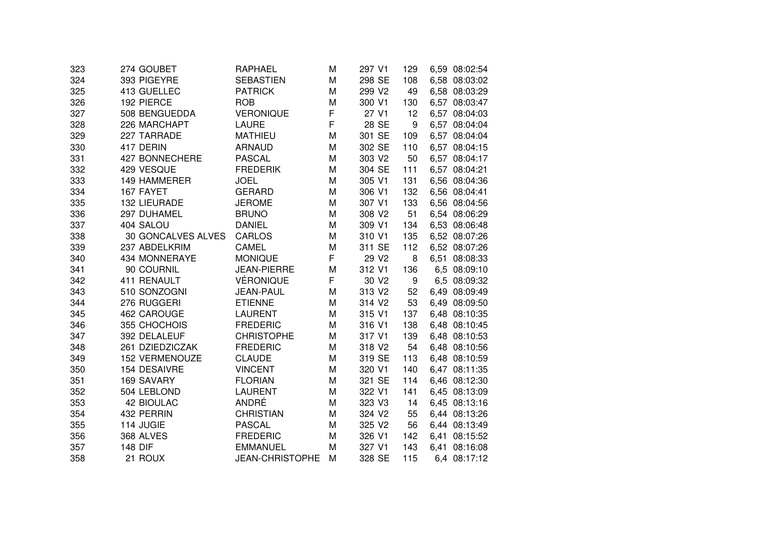| 323 | 274 GOUBET            | RAPHAEL                | M | 297 V1             | 129 | 6,59 08:02:54 |
|-----|-----------------------|------------------------|---|--------------------|-----|---------------|
| 324 | 393 PIGEYRE           | <b>SEBASTIEN</b>       | M | 298 SE             | 108 | 6,58 08:03:02 |
| 325 | 413 GUELLEC           | <b>PATRICK</b>         | M | 299 V2             | 49  | 6,58 08:03:29 |
| 326 | 192 PIERCE            | <b>ROB</b>             | M | 300 V1             | 130 | 6,57 08:03:47 |
| 327 | 508 BENGUEDDA         | <b>VERONIQUE</b>       | F | 27 V1              | 12  | 6,57 08:04:03 |
| 328 | 226 MARCHAPT          | <b>LAURE</b>           | F | 28 SE              | 9   | 6,57 08:04:04 |
| 329 | 227 TARRADE           | <b>MATHIEU</b>         | M | 301 SE             | 109 | 6,57 08:04:04 |
| 330 | 417 DERIN             | <b>ARNAUD</b>          | M | 302 SE             | 110 | 6,57 08:04:15 |
| 331 | 427 BONNECHERE        | <b>PASCAL</b>          | M | 303 V2             | 50  | 6,57 08:04:17 |
| 332 | 429 VESQUE            | <b>FREDERIK</b>        | M | 304 SE             | 111 | 6,57 08:04:21 |
| 333 | 149 HAMMERER          | <b>JOEL</b>            | M | 305 V1             | 131 | 6,56 08:04:36 |
| 334 | 167 FAYET             | <b>GERARD</b>          | M | 306 V1             | 132 | 6,56 08:04:41 |
| 335 | 132 LIEURADE          | <b>JEROME</b>          | M | 307 V1             | 133 | 6,56 08:04:56 |
| 336 | 297 DUHAMEL           | <b>BRUNO</b>           | M | 308 V2             | 51  | 6,54 08:06:29 |
| 337 | 404 SALOU             | <b>DANIEL</b>          | M | 309 V1             | 134 | 6,53 08:06:48 |
| 338 | 30 GONCALVES ALVES    | <b>CARLOS</b>          | M | 310 V1             | 135 | 6,52 08:07:26 |
| 339 | 237 ABDELKRIM         | CAMEL                  | M | 311 SE             | 112 | 6,52 08:07:26 |
| 340 | 434 MONNERAYE         | <b>MONIQUE</b>         | F | 29 V2              | 8   | 6,51 08:08:33 |
| 341 | 90 COURNIL            | <b>JEAN-PIERRE</b>     | M | 312 V1             | 136 | 6,5 08:09:10  |
| 342 | 411 RENAULT           | <b>VÉRONIQUE</b>       | F | 30 V <sub>2</sub>  | 9   | 6,5 08:09:32  |
| 343 | 510 SONZOGNI          | <b>JEAN-PAUL</b>       | M | 313 V2             | 52  | 6,49 08:09:49 |
| 344 | 276 RUGGERI           | <b>ETIENNE</b>         | M | 314 V <sub>2</sub> | 53  | 6,49 08:09:50 |
| 345 | 462 CAROUGE           | <b>LAURENT</b>         | M | 315 V1             | 137 | 6,48 08:10:35 |
| 346 | 355 CHOCHOIS          | <b>FREDERIC</b>        | M | 316 V1             | 138 | 6,48 08:10:45 |
| 347 | 392 DELALEUF          | <b>CHRISTOPHE</b>      | M | 317 V1             | 139 | 6,48 08:10:53 |
| 348 | 261 DZIEDZICZAK       | <b>FREDERIC</b>        | M | 318 V2             | 54  | 6,48 08:10:56 |
| 349 | <b>152 VERMENOUZE</b> | <b>CLAUDE</b>          | M | 319 SE             | 113 | 6,48 08:10:59 |
| 350 | 154 DESAIVRE          | <b>VINCENT</b>         | M | 320 V1             | 140 | 6,47 08:11:35 |
| 351 | 169 SAVARY            | <b>FLORIAN</b>         | M | 321 SE             | 114 | 6,46 08:12:30 |
| 352 | 504 LEBLOND           | <b>LAURENT</b>         | M | 322 V1             | 141 | 6,45 08:13:09 |
| 353 | <b>42 BIOULAC</b>     | ANDRÉ                  | M | 323 V3             | 14  | 6,45 08:13:16 |
| 354 | 432 PERRIN            | <b>CHRISTIAN</b>       | M | 324 V2             | 55  | 6,44 08:13:26 |
| 355 | 114 JUGIE             | <b>PASCAL</b>          | M | 325 V2             | 56  | 6,44 08:13:49 |
| 356 | 368 ALVES             | <b>FREDERIC</b>        | M | 326 V1             | 142 | 6,41 08:15:52 |
| 357 | <b>148 DIF</b>        | <b>EMMANUEL</b>        | M | 327 V1             | 143 | 6,41 08:16:08 |
| 358 | 21 ROUX               | <b>JEAN-CHRISTOPHE</b> | M | 328 SE             | 115 | 6,4 08:17:12  |
|     |                       |                        |   |                    |     |               |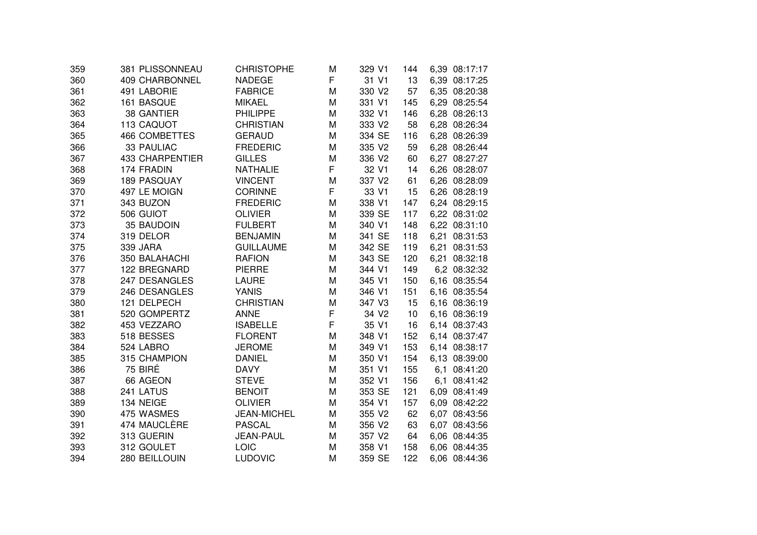| 359 | 381 PLISSONNEAU        | <b>CHRISTOPHE</b>  | M | 329 V1            | 144 | 6,39 08:17:17 |
|-----|------------------------|--------------------|---|-------------------|-----|---------------|
| 360 | <b>409 CHARBONNEL</b>  | <b>NADEGE</b>      | F | 31 V1             | 13  | 6,39 08:17:25 |
| 361 | 491 LABORIE            | <b>FABRICE</b>     | M | 330 V2            | 57  | 6,35 08:20:38 |
| 362 | 161 BASQUE             | <b>MIKAEL</b>      | M | 331 V1            | 145 | 6,29 08:25:54 |
| 363 | 38 GANTIER             | <b>PHILIPPE</b>    | M | 332 V1            | 146 | 6,28 08:26:13 |
| 364 | 113 CAQUOT             | <b>CHRISTIAN</b>   | M | 333 V2            | 58  | 6,28 08:26:34 |
| 365 | <b>466 COMBETTES</b>   | <b>GERAUD</b>      | M | 334 SE            | 116 | 6,28 08:26:39 |
| 366 | 33 PAULIAC             | <b>FREDERIC</b>    | M | 335 V2            | 59  | 6,28 08:26:44 |
| 367 | <b>433 CHARPENTIER</b> | <b>GILLES</b>      | M | 336 V2            | 60  | 6,27 08:27:27 |
| 368 | 174 FRADIN             | <b>NATHALIE</b>    | F | 32 V1             | 14  | 6,26 08:28:07 |
| 369 | 189 PASQUAY            | <b>VINCENT</b>     | M | 337 V2            | 61  | 6,26 08:28:09 |
| 370 | 497 LE MOIGN           | <b>CORINNE</b>     | F | 33 V1             | 15  | 6,26 08:28:19 |
| 371 | 343 BUZON              | <b>FREDERIC</b>    | M | 338 V1            | 147 | 6,24 08:29:15 |
| 372 | 506 GUIOT              | <b>OLIVIER</b>     | M | 339 SE            | 117 | 6,22 08:31:02 |
| 373 | 35 BAUDOIN             | <b>FULBERT</b>     | M | 340 V1            | 148 | 6,22 08:31:10 |
| 374 | 319 DELOR              | <b>BENJAMIN</b>    | M | 341 SE            | 118 | 6,21 08:31:53 |
| 375 | 339 JARA               | <b>GUILLAUME</b>   | M | 342 SE            | 119 | 6,21 08:31:53 |
| 376 | 350 BALAHACHI          | <b>RAFION</b>      | M | 343 SE            | 120 | 6,21 08:32:18 |
| 377 | 122 BREGNARD           | <b>PIERRE</b>      | M | 344 V1            | 149 | 6,2 08:32:32  |
| 378 | 247 DESANGLES          | <b>LAURE</b>       | M | 345 V1            | 150 | 6,16 08:35:54 |
| 379 | 246 DESANGLES          | <b>YANIS</b>       | M | 346 V1            | 151 | 6,16 08:35:54 |
| 380 | 121 DELPECH            | <b>CHRISTIAN</b>   | M | 347 V3            | 15  | 6,16 08:36:19 |
| 381 | 520 GOMPERTZ           | <b>ANNE</b>        | F | 34 V <sub>2</sub> | 10  | 6,16 08:36:19 |
| 382 | 453 VEZZARO            | <b>ISABELLE</b>    | F | 35 V1             | 16  | 6,14 08:37:43 |
| 383 | 518 BESSES             | <b>FLORENT</b>     | M | 348 V1            | 152 | 6,14 08:37:47 |
| 384 | 524 LABRO              | <b>JEROME</b>      | M | 349 V1            | 153 | 6,14 08:38:17 |
| 385 | 315 CHAMPION           | <b>DANIEL</b>      | M | 350 V1            | 154 | 6,13 08:39:00 |
| 386 | 75 BIRÉ                | <b>DAVY</b>        | M | 351 V1            | 155 | 6,1 08:41:20  |
| 387 | 66 AGEON               | <b>STEVE</b>       | M | 352 V1            | 156 | 6,1 08:41:42  |
| 388 | 241 LATUS              | <b>BENOIT</b>      | M | 353 SE            | 121 | 6,09 08:41:49 |
| 389 | 134 NEIGE              | <b>OLIVIER</b>     | M | 354 V1            | 157 | 6,09 08:42:22 |
| 390 | 475 WASMES             | <b>JEAN-MICHEL</b> | M | 355 V2            | 62  | 6,07 08:43:56 |
| 391 | 474 MAUCLÈRE           | <b>PASCAL</b>      | M | 356 V2            | 63  | 6,07 08:43:56 |
| 392 | 313 GUERIN             | <b>JEAN-PAUL</b>   | M | 357 V2            | 64  | 6,06 08:44:35 |
| 393 | 312 GOULET             | LOIC               | M | 358 V1            | 158 | 6,06 08:44:35 |
| 394 | 280 BEILLOUIN          | <b>LUDOVIC</b>     | M | 359 SE            | 122 | 6,06 08:44:36 |
|     |                        |                    |   |                   |     |               |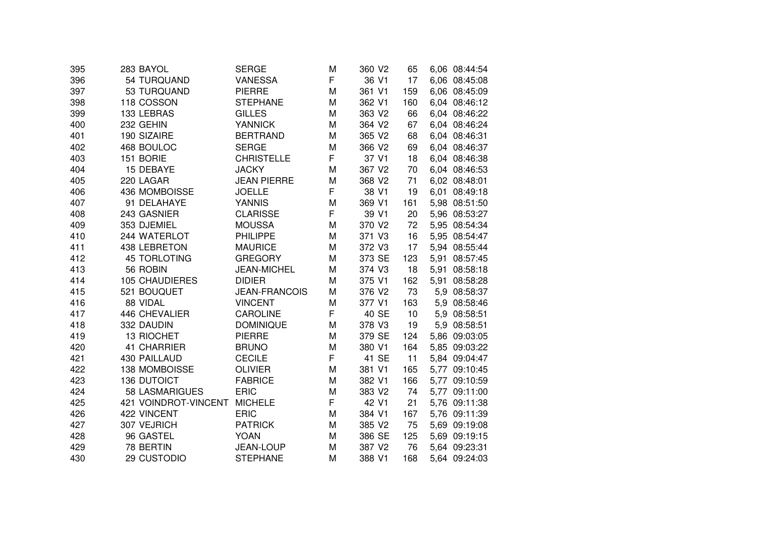| 395 | 283 BAYOL             | SERGE                | M | 360 V <sub>2</sub> | 65  | 6,06 08:44:54 |
|-----|-----------------------|----------------------|---|--------------------|-----|---------------|
| 396 | 54 TURQUAND           | <b>VANESSA</b>       | F | 36 V1              | 17  | 6,06 08:45:08 |
| 397 | 53 TURQUAND           | <b>PIERRE</b>        | M | 361 V1             | 159 | 6.06 08:45:09 |
| 398 | 118 COSSON            | <b>STEPHANE</b>      | M | 362 V1             | 160 | 6,04 08:46:12 |
| 399 | 133 LEBRAS            | <b>GILLES</b>        | M | 363 V2             | 66  | 6,04 08:46:22 |
| 400 | 232 GEHIN             | <b>YANNICK</b>       | M | 364 V2             | 67  | 6,04 08:46:24 |
| 401 | 190 SIZAIRE           | <b>BERTRAND</b>      | M | 365 V2             | 68  | 6,04 08:46:31 |
| 402 | 468 BOULOC            | <b>SERGE</b>         | M | 366 V2             | 69  | 6,04 08:46:37 |
| 403 | 151 BORIE             | <b>CHRISTELLE</b>    | F | 37 V1              | 18  | 6,04 08:46:38 |
| 404 | 15 DEBAYE             | <b>JACKY</b>         | M | 367 V2             | 70  | 6,04 08:46:53 |
| 405 | 220 LAGAR             | <b>JEAN PIERRE</b>   | M | 368 V2             | 71  | 6,02 08:48:01 |
| 406 | 436 MOMBOISSE         | <b>JOELLE</b>        | F | 38 V1              | 19  | 6,01 08:49:18 |
| 407 | 91 DELAHAYE           | <b>YANNIS</b>        | M | 369 V1             | 161 | 5,98 08:51:50 |
| 408 | 243 GASNIER           | <b>CLARISSE</b>      | F | 39 V1              | 20  | 5,96 08:53:27 |
| 409 | 353 DJEMIEL           | <b>MOUSSA</b>        | M | 370 V2             | 72  | 5,95 08:54:34 |
| 410 | 244 WATERLOT          | <b>PHILIPPE</b>      | M | 371 V3             | 16  | 5,95 08:54:47 |
| 411 | 438 LEBRETON          | <b>MAURICE</b>       | M | 372 V3             | 17  | 5,94 08:55:44 |
| 412 | <b>45 TORLOTING</b>   | <b>GREGORY</b>       | M | 373 SE             | 123 | 5,91 08:57:45 |
| 413 | 56 ROBIN              | <b>JEAN-MICHEL</b>   | M | 374 V3             | 18  | 5,91 08:58:18 |
| 414 | <b>105 CHAUDIERES</b> | <b>DIDIER</b>        | M | 375 V1             | 162 | 5,91 08:58:28 |
| 415 | 521 BOUQUET           | <b>JEAN-FRANCOIS</b> | Μ | 376 V2             | 73  | 5,9 08:58:37  |
| 416 | 88 VIDAL              | <b>VINCENT</b>       | M | 377 V1             | 163 | 5,9 08:58:46  |
| 417 | 446 CHEVALIER         | <b>CAROLINE</b>      | F | 40 SE              | 10  | 5,9 08:58:51  |
| 418 | 332 DAUDIN            | <b>DOMINIQUE</b>     | M | 378 V3             | 19  | 5,9 08:58:51  |
| 419 | 13 RIOCHET            | <b>PIERRE</b>        | M | 379 SE             | 124 | 5,86 09:03:05 |
| 420 | 41 CHARRIER           | <b>BRUNO</b>         | M | 380 V1             | 164 | 5,85 09:03:22 |
| 421 | 430 PAILLAUD          | <b>CECILE</b>        | F | 41 SE              | 11  | 5,84 09:04:47 |
| 422 | 138 MOMBOISSE         | <b>OLIVIER</b>       | M | 381 V1             | 165 | 5,77 09:10:45 |
| 423 | <b>136 DUTOICT</b>    | <b>FABRICE</b>       | M | 382 V1             | 166 | 5,77 09:10:59 |
| 424 | <b>58 LASMARIGUES</b> | <b>ERIC</b>          | M | 383 V2             | 74  | 5,77 09:11:00 |
| 425 | 421 VOINDROT-VINCENT  | <b>MICHELE</b>       | F | 42 V1              | 21  | 5,76 09:11:38 |
| 426 | 422 VINCENT           | <b>ERIC</b>          | M | 384 V1             | 167 | 5,76 09:11:39 |
| 427 | 307 VEJRICH           | <b>PATRICK</b>       | M | 385 V2             | 75  | 5,69 09:19:08 |
| 428 | 96 GASTEL             | <b>YOAN</b>          | M | 386 SE             | 125 | 5,69 09:19:15 |
| 429 | 78 BERTIN             | JEAN-LOUP            | M | 387 V2             | 76  | 5,64 09:23:31 |
| 430 | 29 CUSTODIO           | <b>STEPHANE</b>      | M | 388 V1             | 168 | 5,64 09:24:03 |